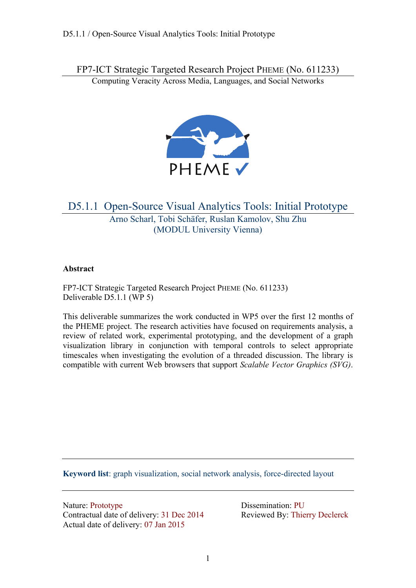FP7-ICT Strategic Targeted Research Project PHEME (No. 611233)

Computing Veracity Across Media, Languages, and Social Networks



## D5.1.1 Open-Source Visual Analytics Tools: Initial Prototype Arno Scharl, Tobi Schäfer, Ruslan Kamolov, Shu Zhu (MODUL University Vienna)

## **Abstract**

FP7-ICT Strategic Targeted Research Project PHEME (No. 611233) Deliverable D5.1.1 (WP 5)

This deliverable summarizes the work conducted in WP5 over the first 12 months of the PHEME project. The research activities have focused on requirements analysis, a review of related work, experimental prototyping, and the development of a graph visualization library in conjunction with temporal controls to select appropriate timescales when investigating the evolution of a threaded discussion. The library is compatible with current Web browsers that support *Scalable Vector Graphics (SVG)*.

**Keyword list**: graph visualization, social network analysis, force-directed layout

Nature: Prototype Dissemination: PU Contractual date of delivery: 31 Dec 2014 Reviewed By: Thierry Declerck Actual date of delivery: 07 Jan 2015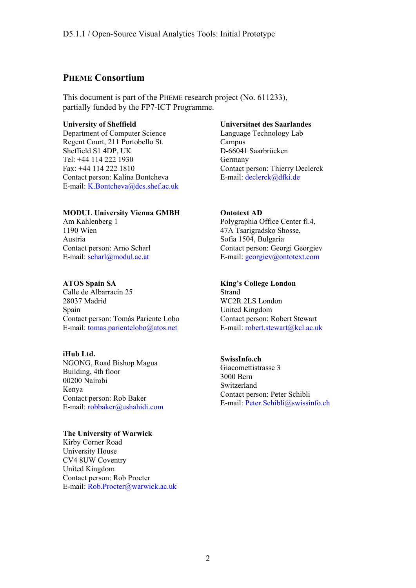## **PHEME Consortium**

This document is part of the PHEME research project (No. 611233), partially funded by the FP7-ICT Programme.

#### **University of Sheffield**

Department of Computer Science Regent Court, 211 Portobello St. Sheffield S1 4DP, UK Tel: +44 114 222 1930 Fax: +44 114 222 1810 Contact person: Kalina Bontcheva E-mail: K.Bontcheva@dcs.shef.ac.uk

### **MODUL University Vienna GMBH**

Am Kahlenberg 1 1190 Wien Austria Contact person: Arno Scharl E-mail: scharl@modul.ac.at

### **ATOS Spain SA**

Calle de Albarracin 25 28037 Madrid Spain Contact person: Tomás Pariente Lobo E-mail: tomas.parientelobo@atos.net

#### **iHub Ltd.**

NGONG, Road Bishop Magua Building, 4th floor 00200 Nairobi Kenya Contact person: Rob Baker E-mail: robbaker@ushahidi.com

#### **The University of Warwick**

Kirby Corner Road University House CV4 8UW Coventry United Kingdom Contact person: Rob Procter E-mail: Rob.Procter@warwick.ac.uk

#### **Universitaet des Saarlandes**

Language Technology Lab Campus D-66041 Saarbrücken Germany Contact person: Thierry Declerck E-mail: declerck@dfki.de

### **Ontotext AD**

Polygraphia Office Center fl.4, 47A Tsarigradsko Shosse, Sofia 1504, Bulgaria Contact person: Georgi Georgiev E-mail: georgiev@ontotext.com

### **King's College London**

Strand WC2R 2LS London United Kingdom Contact person: Robert Stewart E-mail: robert.stewart@kcl.ac.uk

### **SwissInfo.ch**

Giacomettistrasse 3 3000 Bern Switzerland Contact person: Peter Schibli E-mail: Peter.Schibli@swissinfo.ch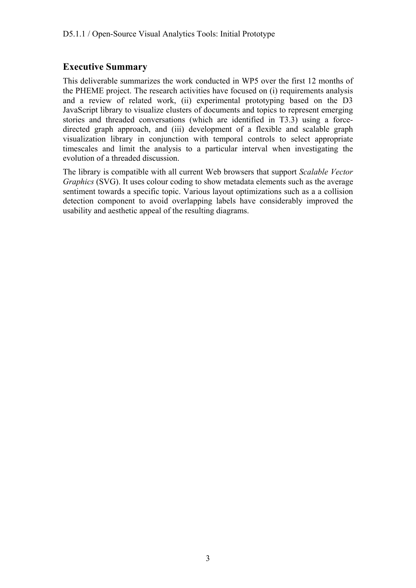## **Executive Summary**

This deliverable summarizes the work conducted in WP5 over the first 12 months of the PHEME project. The research activities have focused on (i) requirements analysis and a review of related work, (ii) experimental prototyping based on the D3 JavaScript library to visualize clusters of documents and topics to represent emerging stories and threaded conversations (which are identified in T3.3) using a forcedirected graph approach, and (iii) development of a flexible and scalable graph visualization library in conjunction with temporal controls to select appropriate timescales and limit the analysis to a particular interval when investigating the evolution of a threaded discussion.

The library is compatible with all current Web browsers that support *Scalable Vector Graphics* (SVG). It uses colour coding to show metadata elements such as the average sentiment towards a specific topic. Various layout optimizations such as a a collision detection component to avoid overlapping labels have considerably improved the usability and aesthetic appeal of the resulting diagrams.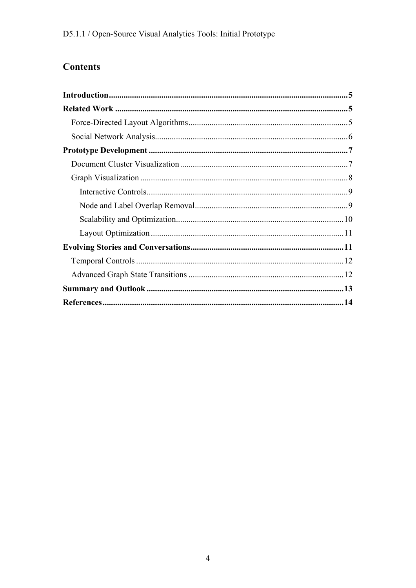# **Contents**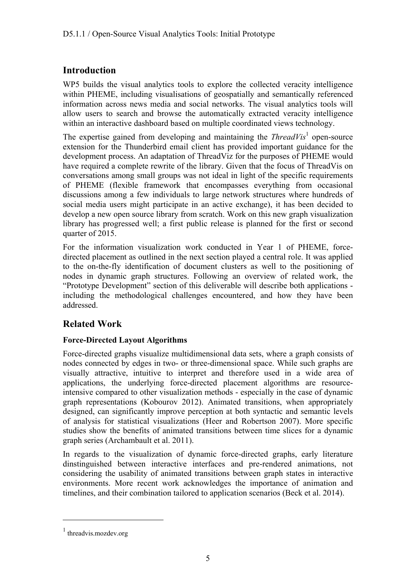## **Introduction**

WP5 builds the visual analytics tools to explore the collected veracity intelligence within PHEME, including visualisations of geospatially and semantically referenced information across news media and social networks. The visual analytics tools will allow users to search and browse the automatically extracted veracity intelligence within an interactive dashboard based on multiple coordinated views technology.

The expertise gained from developing and maintaining the  $ThreadVis<sup>1</sup>$  open-source extension for the Thunderbird email client has provided important guidance for the development process. An adaptation of ThreadViz for the purposes of PHEME would have required a complete rewrite of the library. Given that the focus of ThreadVis on conversations among small groups was not ideal in light of the specific requirements of PHEME (flexible framework that encompasses everything from occasional discussions among a few individuals to large network structures where hundreds of social media users might participate in an active exchange), it has been decided to develop a new open source library from scratch. Work on this new graph visualization library has progressed well; a first public release is planned for the first or second quarter of 2015.

For the information visualization work conducted in Year 1 of PHEME, forcedirected placement as outlined in the next section played a central role. It was applied to the on-the-fly identification of document clusters as well to the positioning of nodes in dynamic graph structures. Following an overview of related work, the "Prototype Development" section of this deliverable will describe both applications including the methodological challenges encountered, and how they have been addressed.

## **Related Work**

## **Force-Directed Layout Algorithms**

Force-directed graphs visualize multidimensional data sets, where a graph consists of nodes connected by edges in two- or three-dimensional space. While such graphs are visually attractive, intuitive to interpret and therefore used in a wide area of applications, the underlying force-directed placement algorithms are resourceintensive compared to other visualization methods - especially in the case of dynamic graph representations (Kobourov 2012). Animated transitions, when appropriately designed, can significantly improve perception at both syntactic and semantic levels of analysis for statistical visualizations (Heer and Robertson 2007). More specific studies show the benefits of animated transitions between time slices for a dynamic graph series (Archambault et al. 2011).

In regards to the visualization of dynamic force-directed graphs, early literature dinstinguished between interactive interfaces and pre-rendered animations, not considering the usability of animated transitions between graph states in interactive environments. More recent work acknowledges the importance of animation and timelines, and their combination tailored to application scenarios (Beck et al. 2014).

<sup>&</sup>lt;sup>1</sup> threadvis.mozdev.org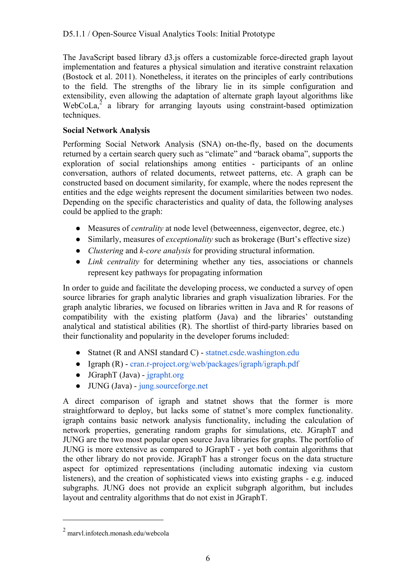The JavaScript based library d3.js offers a customizable force-directed graph layout implementation and features a physical simulation and iterative constraint relaxation (Bostock et al. 2011). Nonetheless, it iterates on the principles of early contributions to the field. The strengths of the library lie in its simple configuration and extensibility, even allowing the adaptation of alternate graph layout algorithms like  $WebCola<sub>1</sub><sup>2</sup>$  a library for arranging layouts using constraint-based optimization techniques.

## **Social Network Analysis**

Performing Social Network Analysis (SNA) on-the-fly, based on the documents returned by a certain search query such as "climate" and "barack obama", supports the exploration of social relationships among entities - participants of an online conversation, authors of related documents, retweet patterns, etc. A graph can be constructed based on document similarity, for example, where the nodes represent the entities and the edge weights represent the document similarities between two nodes. Depending on the specific characteristics and quality of data, the following analyses could be applied to the graph:

- Measures of *centrality* at node level (betweenness, eigenvector, degree, etc.)
- Similarly, measures of *exceptionality* such as brokerage (Burt's effective size)
- *Clustering* and *k-core analysis* for providing structural information.
- *Link centrality* for determining whether any ties, associations or channels represent key pathways for propagating information

In order to guide and facilitate the developing process, we conducted a survey of open source libraries for graph analytic libraries and graph visualization libraries. For the graph analytic libraries, we focused on libraries written in Java and R for reasons of compatibility with the existing platform (Java) and the libraries' outstanding analytical and statistical abilities (R). The shortlist of third-party libraries based on their functionality and popularity in the developer forums included:

- Statnet (R and ANSI standard C) statnet.csde.washington.edu
- Igraph (R) cran.r-project.org/web/packages/igraph/igraph.pdf
- $\bullet$  JGraphT (Java) jgrapht.org
- JUNG (Java) jung.sourceforge.net

A direct comparison of igraph and statnet shows that the former is more straightforward to deploy, but lacks some of statnet's more complex functionality. igraph contains basic network analysis functionality, including the calculation of network properties, generating random graphs for simulations, etc. JGraphT and JUNG are the two most popular open source Java libraries for graphs. The portfolio of JUNG is more extensive as compared to JGraphT - yet both contain algorithms that the other library do not provide. JGraphT has a stronger focus on the data structure aspect for optimized representations (including automatic indexing via custom listeners), and the creation of sophisticated views into existing graphs - e.g. induced subgraphs. JUNG does not provide an explicit subgraph algorithm, but includes layout and centrality algorithms that do not exist in JGraphT.

<sup>2</sup> marvl.infotech.monash.edu/webcola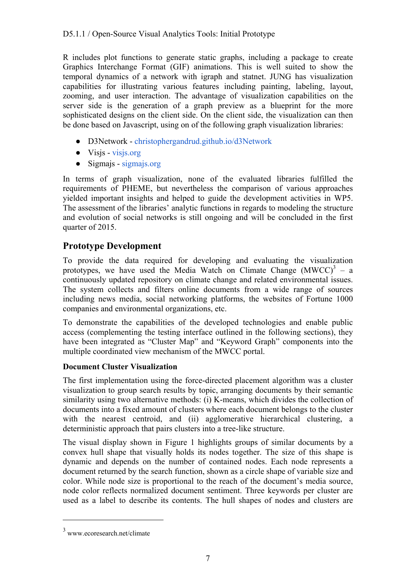R includes plot functions to generate static graphs, including a package to create Graphics Interchange Format (GIF) animations. This is well suited to show the temporal dynamics of a network with igraph and statnet. JUNG has visualization capabilities for illustrating various features including painting, labeling, layout, zooming, and user interaction. The advantage of visualization capabilities on the server side is the generation of a graph preview as a blueprint for the more sophisticated designs on the client side. On the client side, the visualization can then be done based on Javascript, using on of the following graph visualization libraries:

- D3Network christophergandrud.github.io/d3Network
- Visjs visjs.org
- Sigmajs sigmajs.org

In terms of graph visualization, none of the evaluated libraries fulfilled the requirements of PHEME, but nevertheless the comparison of various approaches yielded important insights and helped to guide the development activities in WP5. The assessment of the libraries' analytic functions in regards to modeling the structure and evolution of social networks is still ongoing and will be concluded in the first quarter of 2015.

## **Prototype Development**

To provide the data required for developing and evaluating the visualization prototypes, we have used the Media Watch on Climate Change  $(MWCC)^3$  – a continuously updated repository on climate change and related environmental issues. The system collects and filters online documents from a wide range of sources including news media, social networking platforms, the websites of Fortune 1000 companies and environmental organizations, etc.

To demonstrate the capabilities of the developed technologies and enable public access (complementing the testing interface outlined in the following sections), they have been integrated as "Cluster Map" and "Keyword Graph" components into the multiple coordinated view mechanism of the MWCC portal.

## **Document Cluster Visualization**

The first implementation using the force-directed placement algorithm was a cluster visualization to group search results by topic, arranging documents by their semantic similarity using two alternative methods: (i) K-means, which divides the collection of documents into a fixed amount of clusters where each document belongs to the cluster with the nearest centroid, and (ii) agglomerative hierarchical clustering, a deterministic approach that pairs clusters into a tree-like structure.

The visual display shown in Figure 1 highlights groups of similar documents by a convex hull shape that visually holds its nodes together. The size of this shape is dynamic and depends on the number of contained nodes. Each node represents a document returned by the search function, shown as a circle shape of variable size and color. While node size is proportional to the reach of the document's media source, node color reflects normalized document sentiment. Three keywords per cluster are used as a label to describe its contents. The hull shapes of nodes and clusters are

<sup>3</sup> www.ecoresearch.net/climate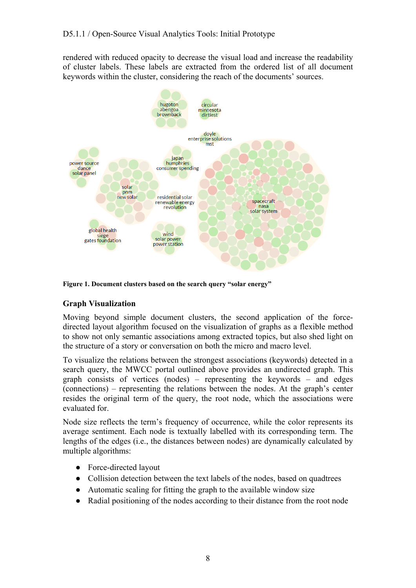rendered with reduced opacity to decrease the visual load and increase the readability of cluster labels. These labels are extracted from the ordered list of all document keywords within the cluster, considering the reach of the documents' sources.



**Figure 1. Document clusters based on the search query "solar energy"** 

### **Graph Visualization**

Moving beyond simple document clusters, the second application of the forcedirected layout algorithm focused on the visualization of graphs as a flexible method to show not only semantic associations among extracted topics, but also shed light on the structure of a story or conversation on both the micro and macro level.

To visualize the relations between the strongest associations (keywords) detected in a search query, the MWCC portal outlined above provides an undirected graph. This graph consists of vertices (nodes) – representing the keywords – and edges (connections) – representing the relations between the nodes. At the graph's center resides the original term of the query, the root node, which the associations were evaluated for.

Node size reflects the term's frequency of occurrence, while the color represents its average sentiment. Each node is textually labelled with its corresponding term. The lengths of the edges (i.e., the distances between nodes) are dynamically calculated by multiple algorithms:

- Force-directed layout
- Collision detection between the text labels of the nodes, based on quadtrees
- Automatic scaling for fitting the graph to the available window size
- Radial positioning of the nodes according to their distance from the root node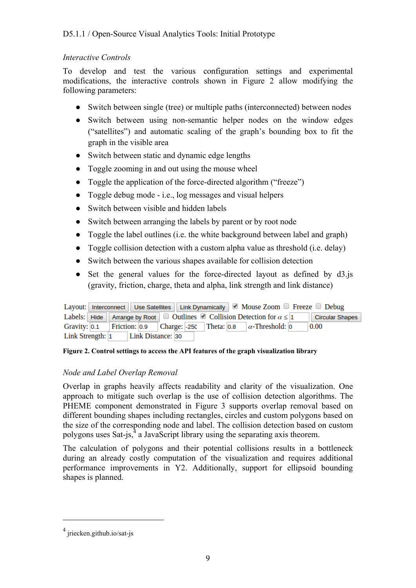### *Interactive Controls*

To develop and test the various configuration settings and experimental modifications, the interactive controls shown in Figure 2 allow modifying the following parameters:

- Switch between single (tree) or multiple paths (interconnected) between nodes
- Switch between using non-semantic helper nodes on the window edges ("satellites") and automatic scaling of the graph's bounding box to fit the graph in the visible area
- Switch between static and dynamic edge lengths
- Toggle zooming in and out using the mouse wheel
- Toggle the application of the force-directed algorithm ("freeze")
- Toggle debug mode i.e., log messages and visual helpers
- Switch between visible and hidden labels
- Switch between arranging the labels by parent or by root node
- Toggle the label outlines (i.e. the white background between label and graph)
- Toggle collision detection with a custom alpha value as threshold (i.e. delay)
- Switch between the various shapes available for collision detection
- Set the general values for the force-directed layout as defined by d3.js (gravity, friction, charge, theta and alpha, link strength and link distance)

|                  |  |  |                   | Layout: Interconnect   Use Satellites   Link Dynamically   Mouse Zoom □ Freeze □ Debug |  |                                                                                                                                           |  |                        |
|------------------|--|--|-------------------|----------------------------------------------------------------------------------------|--|-------------------------------------------------------------------------------------------------------------------------------------------|--|------------------------|
|                  |  |  |                   |                                                                                        |  | Labels: Hide Arrange by Root $\Box$ Outlines $\Box$ Collision Detection for $\alpha \leq 1$                                               |  | <b>Circular Shapes</b> |
|                  |  |  |                   |                                                                                        |  | Gravity: $\vert 0.1 \vert$   Friction: $\vert 0.9 \vert$   Charge: -250   Theta: $\vert 0.8 \vert$   $\alpha$ -Threshold: $\vert 0 \vert$ |  | 0.00                   |
| Link Strength: 1 |  |  | Link Distance: 30 |                                                                                        |  |                                                                                                                                           |  |                        |

### **Figure 2. Control settings to access the API features of the graph visualization library**

### *Node and Label Overlap Removal*

Overlap in graphs heavily affects readability and clarity of the visualization. One approach to mitigate such overlap is the use of collision detection algorithms. The PHEME component demonstrated in Figure 3 supports overlap removal based on different bounding shapes including rectangles, circles and custom polygons based on the size of the corresponding node and label. The collision detection based on custom polygons uses Sat-js, $<sup>4</sup>$  a JavaScript library using the separating axis theorem.</sup>

The calculation of polygons and their potential collisions results in a bottleneck during an already costly computation of the visualization and requires additional performance improvements in Y2. Additionally, support for ellipsoid bounding shapes is planned.

<sup>4</sup> jriecken.github.io/sat-js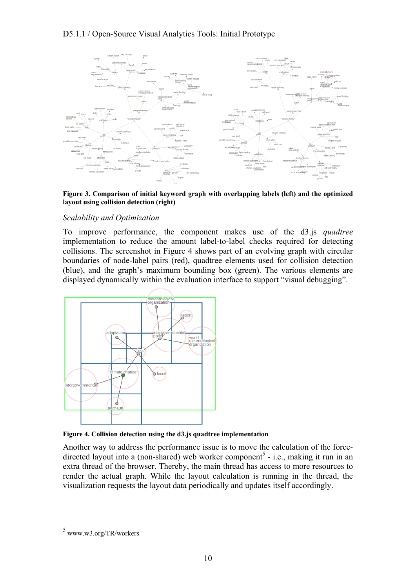## D5.1.1 / Open-Source Visual Analytics Tools: Initial Prototype



**Figure 3. Comparison of initial keyword graph with overlapping labels (left) and the optimized layout using collision detection (right)** 

### *Scalability and Optimization*

To improve performance, the component makes use of the d3.js *quadtree*  implementation to reduce the amount label-to-label checks required for detecting collisions. The screenshot in Figure 4 shows part of an evolving graph with circular boundaries of node-label pairs (red), quadtree elements used for collision detection (blue), and the graph's maximum bounding box (green). The various elements are displayed dynamically within the evaluation interface to support "visual debugging".



**Figure 4. Collision detection using the d3.js quadtree implementation** 

Another way to address the performance issue is to move the calculation of the forcedirected layout into a (non-shared) web worker component<sup>5</sup> - i.e., making it run in an extra thread of the browser. Thereby, the main thread has access to more resources to render the actual graph. While the layout calculation is running in the thread, the visualization requests the layout data periodically and updates itself accordingly.

<sup>5</sup> www.w3.org/TR/workers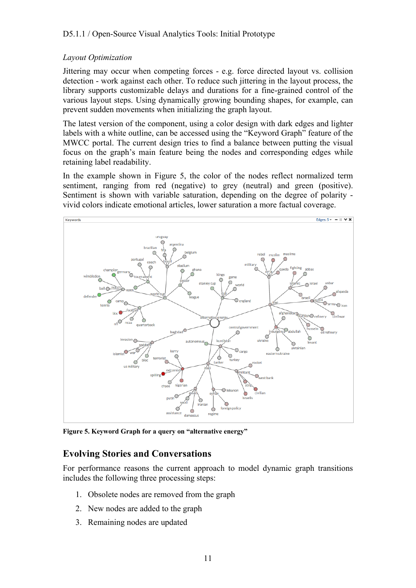## *Layout Optimization*

Jittering may occur when competing forces - e.g. force directed layout vs. collision detection - work against each other. To reduce such jittering in the layout process, the library supports customizable delays and durations for a fine-grained control of the various layout steps. Using dynamically growing bounding shapes, for example, can prevent sudden movements when initializing the graph layout.

The latest version of the component, using a color design with dark edges and lighter labels with a white outline, can be accessed using the "Keyword Graph" feature of the MWCC portal. The current design tries to find a balance between putting the visual focus on the graph's main feature being the nodes and corresponding edges while retaining label readability.

In the example shown in Figure 5, the color of the nodes reflect normalized term sentiment, ranging from red (negative) to grey (neutral) and green (positive). Sentiment is shown with variable saturation, depending on the degree of polarity vivid colors indicate emotional articles, lower saturation a more factual coverage.



**Figure 5. Keyword Graph for a query on "alternative energy"** 

## **Evolving Stories and Conversations**

For performance reasons the current approach to model dynamic graph transitions includes the following three processing steps:

- 1. Obsolete nodes are removed from the graph
- 2. New nodes are added to the graph
- 3. Remaining nodes are updated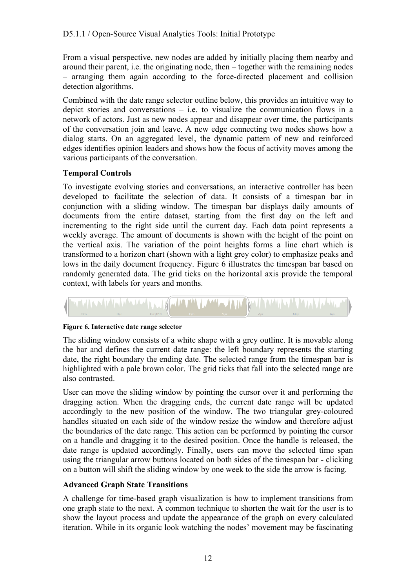From a visual perspective, new nodes are added by initially placing them nearby and around their parent, i.e. the originating node, then – together with the remaining nodes – arranging them again according to the force-directed placement and collision detection algorithms.

Combined with the date range selector outline below, this provides an intuitive way to depict stories and conversations  $-$  i.e. to visualize the communication flows in a network of actors. Just as new nodes appear and disappear over time, the participants of the conversation join and leave. A new edge connecting two nodes shows how a dialog starts. On an aggregated level, the dynamic pattern of new and reinforced edges identifies opinion leaders and shows how the focus of activity moves among the various participants of the conversation.

## **Temporal Controls**

To investigate evolving stories and conversations, an interactive controller has been developed to facilitate the selection of data. It consists of a timespan bar in conjunction with a sliding window. The timespan bar displays daily amounts of documents from the entire dataset, starting from the first day on the left and incrementing to the right side until the current day. Each data point represents a weekly average. The amount of documents is shown with the height of the point on the vertical axis. The variation of the point heights forms a line chart which is transformed to a horizon chart (shown with a light grey color) to emphasize peaks and lows in the daily document frequency. Figure 6 illustrates the timespan bar based on randomly generated data. The grid ticks on the horizontal axis provide the temporal context, with labels for years and months.



### **Figure 6. Interactive date range selector**

The sliding window consists of a white shape with a grey outline. It is movable along the bar and defines the current date range: the left boundary represents the starting date, the right boundary the ending date. The selected range from the timespan bar is highlighted with a pale brown color. The grid ticks that fall into the selected range are also contrasted.

User can move the sliding window by pointing the cursor over it and performing the dragging action. When the dragging ends, the current date range will be updated accordingly to the new position of the window. The two triangular grey-coloured handles situated on each side of the window resize the window and therefore adjust the boundaries of the date range. This action can be performed by pointing the cursor on a handle and dragging it to the desired position. Once the handle is released, the date range is updated accordingly. Finally, users can move the selected time span using the triangular arrow buttons located on both sides of the timespan bar - clicking on a button will shift the sliding window by one week to the side the arrow is facing.

## **Advanced Graph State Transitions**

A challenge for time-based graph visualization is how to implement transitions from one graph state to the next. A common technique to shorten the wait for the user is to show the layout process and update the appearance of the graph on every calculated iteration. While in its organic look watching the nodes' movement may be fascinating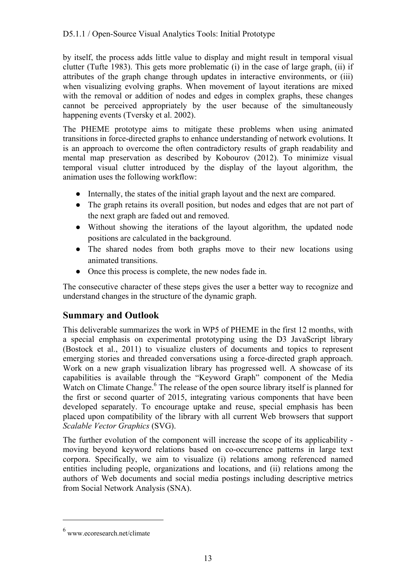## D5.1.1 / Open-Source Visual Analytics Tools: Initial Prototype

by itself, the process adds little value to display and might result in temporal visual clutter (Tufte 1983). This gets more problematic (i) in the case of large graph, (ii) if attributes of the graph change through updates in interactive environments, or (iii) when visualizing evolving graphs. When movement of layout iterations are mixed with the removal or addition of nodes and edges in complex graphs, these changes cannot be perceived appropriately by the user because of the simultaneously happening events (Tversky et al. 2002).

The PHEME prototype aims to mitigate these problems when using animated transitions in force-directed graphs to enhance understanding of network evolutions. It is an approach to overcome the often contradictory results of graph readability and mental map preservation as described by Kobourov (2012). To minimize visual temporal visual clutter introduced by the display of the layout algorithm, the animation uses the following workflow:

- Internally, the states of the initial graph layout and the next are compared.
- The graph retains its overall position, but nodes and edges that are not part of the next graph are faded out and removed.
- Without showing the iterations of the layout algorithm, the updated node positions are calculated in the background.
- The shared nodes from both graphs move to their new locations using animated transitions.
- Once this process is complete, the new nodes fade in.

The consecutive character of these steps gives the user a better way to recognize and understand changes in the structure of the dynamic graph.

## **Summary and Outlook**

This deliverable summarizes the work in WP5 of PHEME in the first 12 months, with a special emphasis on experimental prototyping using the D3 JavaScript library (Bostock et al., 2011) to visualize clusters of documents and topics to represent emerging stories and threaded conversations using a force-directed graph approach. Work on a new graph visualization library has progressed well. A showcase of its capabilities is available through the "Keyword Graph" component of the Media Watch on Climate Change.<sup>6</sup> The release of the open source library itself is planned for the first or second quarter of 2015, integrating various components that have been developed separately. To encourage uptake and reuse, special emphasis has been placed upon compatibility of the library with all current Web browsers that support *Scalable Vector Graphics* (SVG).

The further evolution of the component will increase the scope of its applicability moving beyond keyword relations based on co-occurrence patterns in large text corpora. Specifically, we aim to visualize (i) relations among referenced named entities including people, organizations and locations, and (ii) relations among the authors of Web documents and social media postings including descriptive metrics from Social Network Analysis (SNA).

<sup>6</sup> www.ecoresearch.net/climate